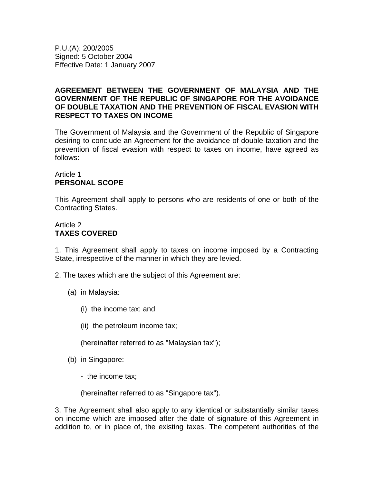P.U.(A): 200/2005 Signed: 5 October 2004 Effective Date: 1 January 2007

### **AGREEMENT BETWEEN THE GOVERNMENT OF MALAYSIA AND THE GOVERNMENT OF THE REPUBLIC OF SINGAPORE FOR THE AVOIDANCE OF DOUBLE TAXATION AND THE PREVENTION OF FISCAL EVASION WITH RESPECT TO TAXES ON INCOME**

The Government of Malaysia and the Government of the Republic of Singapore desiring to conclude an Agreement for the avoidance of double taxation and the prevention of fiscal evasion with respect to taxes on income, have agreed as follows:

### Article 1 **PERSONAL SCOPE**

This Agreement shall apply to persons who are residents of one or both of the Contracting States.

# Article 2 **TAXES COVERED**

1. This Agreement shall apply to taxes on income imposed by a Contracting State, irrespective of the manner in which they are levied.

2. The taxes which are the subject of this Agreement are:

- (a) in Malaysia:
	- (i) the income tax; and
	- (ii) the petroleum income tax;

(hereinafter referred to as "Malaysian tax");

- (b) in Singapore:
	- the income tax;

(hereinafter referred to as "Singapore tax").

3. The Agreement shall also apply to any identical or substantially similar taxes on income which are imposed after the date of signature of this Agreement in addition to, or in place of, the existing taxes. The competent authorities of the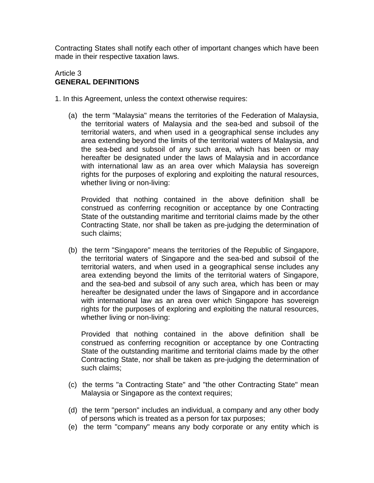Contracting States shall notify each other of important changes which have been made in their respective taxation laws.

### Article 3 **GENERAL DEFINITIONS**

- 1. In this Agreement, unless the context otherwise requires:
	- (a) the term "Malaysia" means the territories of the Federation of Malaysia, the territorial waters of Malaysia and the sea-bed and subsoil of the territorial waters, and when used in a geographical sense includes any area extending beyond the limits of the territorial waters of Malaysia, and the sea-bed and subsoil of any such area, which has been or may hereafter be designated under the laws of Malaysia and in accordance with international law as an area over which Malaysia has sovereign rights for the purposes of exploring and exploiting the natural resources, whether living or non-living:

Provided that nothing contained in the above definition shall be construed as conferring recognition or acceptance by one Contracting State of the outstanding maritime and territorial claims made by the other Contracting State, nor shall be taken as pre-judging the determination of such claims;

(b) the term "Singapore" means the territories of the Republic of Singapore, the territorial waters of Singapore and the sea-bed and subsoil of the territorial waters, and when used in a geographical sense includes any area extending beyond the limits of the territorial waters of Singapore, and the sea-bed and subsoil of any such area, which has been or may hereafter be designated under the laws of Singapore and in accordance with international law as an area over which Singapore has sovereign rights for the purposes of exploring and exploiting the natural resources, whether living or non-living:

Provided that nothing contained in the above definition shall be construed as conferring recognition or acceptance by one Contracting State of the outstanding maritime and territorial claims made by the other Contracting State, nor shall be taken as pre-judging the determination of such claims;

- (c) the terms "a Contracting State" and "the other Contracting State" mean Malaysia or Singapore as the context requires;
- (d) the term "person" includes an individual, a company and any other body of persons which is treated as a person for tax purposes;
- (e) the term "company" means any body corporate or any entity which is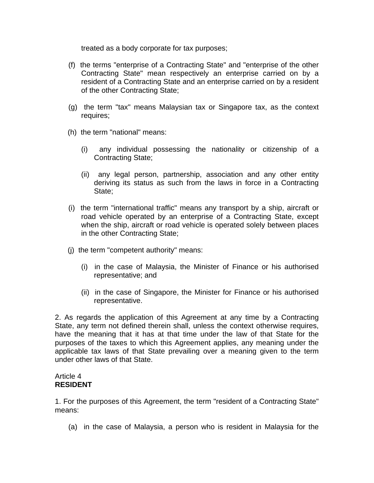treated as a body corporate for tax purposes;

- (f) the terms "enterprise of a Contracting State" and "enterprise of the other Contracting State" mean respectively an enterprise carried on by a resident of a Contracting State and an enterprise carried on by a resident of the other Contracting State;
- (g) the term "tax" means Malaysian tax or Singapore tax, as the context requires;
- (h) the term "national" means:
	- (i) any individual possessing the nationality or citizenship of a Contracting State;
	- (ii) any legal person, partnership, association and any other entity deriving its status as such from the laws in force in a Contracting State;
- (i) the term "international traffic" means any transport by a ship, aircraft or road vehicle operated by an enterprise of a Contracting State, except when the ship, aircraft or road vehicle is operated solely between places in the other Contracting State;
- (j) the term "competent authority" means:
	- (i) in the case of Malaysia, the Minister of Finance or his authorised representative; and
	- (ii) in the case of Singapore, the Minister for Finance or his authorised representative.

2. As regards the application of this Agreement at any time by a Contracting State, any term not defined therein shall, unless the context otherwise requires, have the meaning that it has at that time under the law of that State for the purposes of the taxes to which this Agreement applies, any meaning under the applicable tax laws of that State prevailing over a meaning given to the term under other laws of that State.

## Article 4 **RESIDENT**

1. For the purposes of this Agreement, the term "resident of a Contracting State" means:

(a) in the case of Malaysia, a person who is resident in Malaysia for the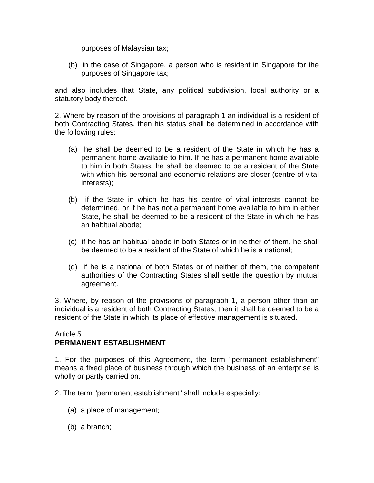purposes of Malaysian tax;

(b) in the case of Singapore, a person who is resident in Singapore for the purposes of Singapore tax;

and also includes that State, any political subdivision, local authority or a statutory body thereof.

2. Where by reason of the provisions of paragraph 1 an individual is a resident of both Contracting States, then his status shall be determined in accordance with the following rules:

- (a) he shall be deemed to be a resident of the State in which he has a permanent home available to him. If he has a permanent home available to him in both States, he shall be deemed to be a resident of the State with which his personal and economic relations are closer (centre of vital interests);
- (b) if the State in which he has his centre of vital interests cannot be determined, or if he has not a permanent home available to him in either State, he shall be deemed to be a resident of the State in which he has an habitual abode;
- (c) if he has an habitual abode in both States or in neither of them, he shall be deemed to be a resident of the State of which he is a national;
- (d) if he is a national of both States or of neither of them, the competent authorities of the Contracting States shall settle the question by mutual agreement.

3. Where, by reason of the provisions of paragraph 1, a person other than an individual is a resident of both Contracting States, then it shall be deemed to be a resident of the State in which its place of effective management is situated.

### Article 5 **PERMANENT ESTABLISHMENT**

1. For the purposes of this Agreement, the term "permanent establishment" means a fixed place of business through which the business of an enterprise is wholly or partly carried on.

- 2. The term "permanent establishment" shall include especially:
	- (a) a place of management;
	- (b) a branch;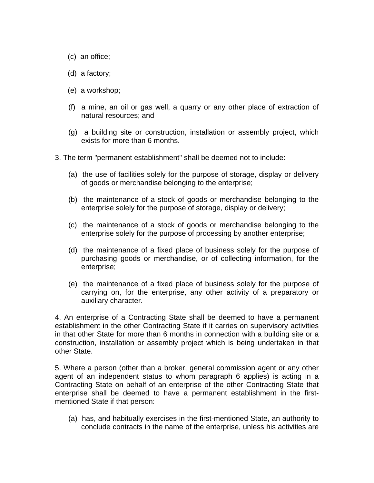- (c) an office;
- (d) a factory;
- (e) a workshop;
- (f) a mine, an oil or gas well, a quarry or any other place of extraction of natural resources; and
- (g) a building site or construction, installation or assembly project, which exists for more than 6 months.
- 3. The term "permanent establishment" shall be deemed not to include:
	- (a) the use of facilities solely for the purpose of storage, display or delivery of goods or merchandise belonging to the enterprise;
	- (b) the maintenance of a stock of goods or merchandise belonging to the enterprise solely for the purpose of storage, display or delivery;
	- (c) the maintenance of a stock of goods or merchandise belonging to the enterprise solely for the purpose of processing by another enterprise;
	- (d) the maintenance of a fixed place of business solely for the purpose of purchasing goods or merchandise, or of collecting information, for the enterprise;
	- (e) the maintenance of a fixed place of business solely for the purpose of carrying on, for the enterprise, any other activity of a preparatory or auxiliary character.

4. An enterprise of a Contracting State shall be deemed to have a permanent establishment in the other Contracting State if it carries on supervisory activities in that other State for more than 6 months in connection with a building site or a construction, installation or assembly project which is being undertaken in that other State.

5. Where a person (other than a broker, general commission agent or any other agent of an independent status to whom paragraph 6 applies) is acting in a Contracting State on behalf of an enterprise of the other Contracting State that enterprise shall be deemed to have a permanent establishment in the firstmentioned State if that person:

(a) has, and habitually exercises in the first-mentioned State, an authority to conclude contracts in the name of the enterprise, unless his activities are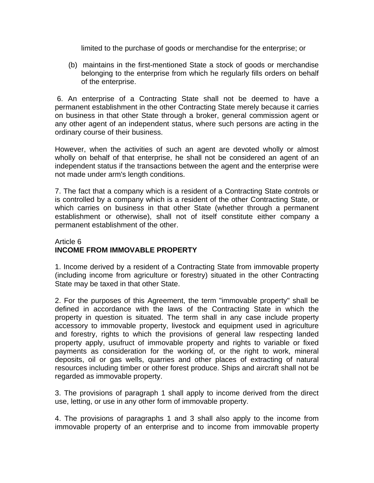limited to the purchase of goods or merchandise for the enterprise; or

(b) maintains in the first-mentioned State a stock of goods or merchandise belonging to the enterprise from which he regularly fills orders on behalf of the enterprise.

 6. An enterprise of a Contracting State shall not be deemed to have a permanent establishment in the other Contracting State merely because it carries on business in that other State through a broker, general commission agent or any other agent of an independent status, where such persons are acting in the ordinary course of their business.

However, when the activities of such an agent are devoted wholly or almost wholly on behalf of that enterprise, he shall not be considered an agent of an independent status if the transactions between the agent and the enterprise were not made under arm's length conditions.

7. The fact that a company which is a resident of a Contracting State controls or is controlled by a company which is a resident of the other Contracting State, or which carries on business in that other State (whether through a permanent establishment or otherwise), shall not of itself constitute either company a permanent establishment of the other.

### Article 6 **INCOME FROM IMMOVABLE PROPERTY**

1. Income derived by a resident of a Contracting State from immovable property (including income from agriculture or forestry) situated in the other Contracting State may be taxed in that other State.

2. For the purposes of this Agreement, the term "immovable property" shall be defined in accordance with the laws of the Contracting State in which the property in question is situated. The term shall in any case include property accessory to immovable property, livestock and equipment used in agriculture and forestry, rights to which the provisions of general law respecting landed property apply, usufruct of immovable property and rights to variable or fixed payments as consideration for the working of, or the right to work, mineral deposits, oil or gas wells, quarries and other places of extracting of natural resources including timber or other forest produce. Ships and aircraft shall not be regarded as immovable property.

3. The provisions of paragraph 1 shall apply to income derived from the direct use, letting, or use in any other form of immovable property.

4. The provisions of paragraphs 1 and 3 shall also apply to the income from immovable property of an enterprise and to income from immovable property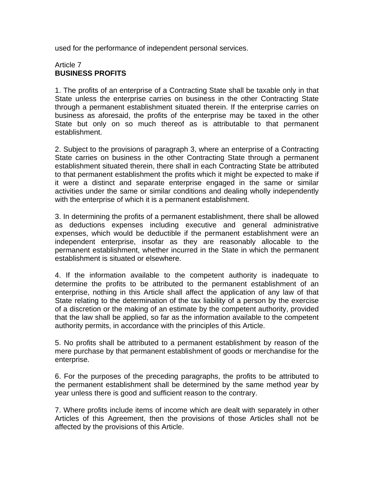used for the performance of independent personal services.

### Article 7 **BUSINESS PROFITS**

1. The profits of an enterprise of a Contracting State shall be taxable only in that State unless the enterprise carries on business in the other Contracting State through a permanent establishment situated therein. If the enterprise carries on business as aforesaid, the profits of the enterprise may be taxed in the other State but only on so much thereof as is attributable to that permanent establishment.

2. Subject to the provisions of paragraph 3, where an enterprise of a Contracting State carries on business in the other Contracting State through a permanent establishment situated therein, there shall in each Contracting State be attributed to that permanent establishment the profits which it might be expected to make if it were a distinct and separate enterprise engaged in the same or similar activities under the same or similar conditions and dealing wholly independently with the enterprise of which it is a permanent establishment.

3. In determining the profits of a permanent establishment, there shall be allowed as deductions expenses including executive and general administrative expenses, which would be deductible if the permanent establishment were an independent enterprise, insofar as they are reasonably allocable to the permanent establishment, whether incurred in the State in which the permanent establishment is situated or elsewhere.

4. If the information available to the competent authority is inadequate to determine the profits to be attributed to the permanent establishment of an enterprise, nothing in this Article shall affect the application of any law of that State relating to the determination of the tax liability of a person by the exercise of a discretion or the making of an estimate by the competent authority, provided that the law shall be applied, so far as the information available to the competent authority permits, in accordance with the principles of this Article.

5. No profits shall be attributed to a permanent establishment by reason of the mere purchase by that permanent establishment of goods or merchandise for the enterprise.

6. For the purposes of the preceding paragraphs, the profits to be attributed to the permanent establishment shall be determined by the same method year by year unless there is good and sufficient reason to the contrary.

7. Where profits include items of income which are dealt with separately in other Articles of this Agreement, then the provisions of those Articles shall not be affected by the provisions of this Article.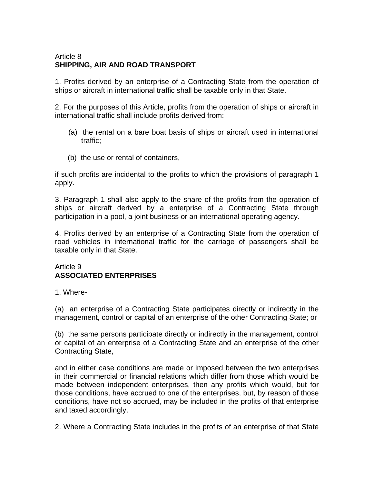# Article 8 **SHIPPING, AIR AND ROAD TRANSPORT**

1. Profits derived by an enterprise of a Contracting State from the operation of ships or aircraft in international traffic shall be taxable only in that State.

2. For the purposes of this Article, profits from the operation of ships or aircraft in international traffic shall include profits derived from:

- (a) the rental on a bare boat basis of ships or aircraft used in international traffic;
- (b) the use or rental of containers,

if such profits are incidental to the profits to which the provisions of paragraph 1 apply.

3. Paragraph 1 shall also apply to the share of the profits from the operation of ships or aircraft derived by a enterprise of a Contracting State through participation in a pool, a joint business or an international operating agency.

4. Profits derived by an enterprise of a Contracting State from the operation of road vehicles in international traffic for the carriage of passengers shall be taxable only in that State.

## Article 9 **ASSOCIATED ENTERPRISES**

1. Where-

(a) an enterprise of a Contracting State participates directly or indirectly in the management, control or capital of an enterprise of the other Contracting State; or

(b) the same persons participate directly or indirectly in the management, control or capital of an enterprise of a Contracting State and an enterprise of the other Contracting State,

and in either case conditions are made or imposed between the two enterprises in their commercial or financial relations which differ from those which would be made between independent enterprises, then any profits which would, but for those conditions, have accrued to one of the enterprises, but, by reason of those conditions, have not so accrued, may be included in the profits of that enterprise and taxed accordingly.

2. Where a Contracting State includes in the profits of an enterprise of that State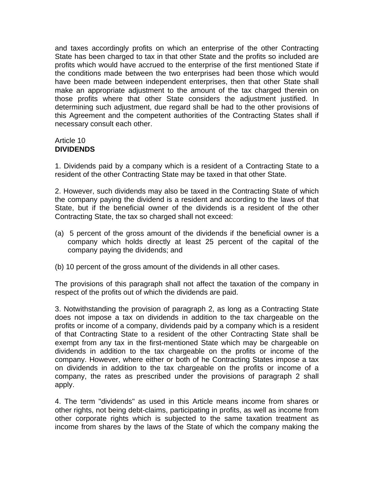and taxes accordingly profits on which an enterprise of the other Contracting State has been charged to tax in that other State and the profits so included are profits which would have accrued to the enterprise of the first mentioned State if the conditions made between the two enterprises had been those which would have been made between independent enterprises, then that other State shall make an appropriate adjustment to the amount of the tax charged therein on those profits where that other State considers the adjustment justified. In determining such adjustment, due regard shall be had to the other provisions of this Agreement and the competent authorities of the Contracting States shall if necessary consult each other.

## Article 10 **DIVIDENDS**

1. Dividends paid by a company which is a resident of a Contracting State to a resident of the other Contracting State may be taxed in that other State.

2. However, such dividends may also be taxed in the Contracting State of which the company paying the dividend is a resident and according to the laws of that State, but if the beneficial owner of the dividends is a resident of the other Contracting State, the tax so charged shall not exceed:

- (a) 5 percent of the gross amount of the dividends if the beneficial owner is a company which holds directly at least 25 percent of the capital of the company paying the dividends; and
- (b) 10 percent of the gross amount of the dividends in all other cases.

The provisions of this paragraph shall not affect the taxation of the company in respect of the profits out of which the dividends are paid.

3. Notwithstanding the provision of paragraph 2, as long as a Contracting State does not impose a tax on dividends in addition to the tax chargeable on the profits or income of a company, dividends paid by a company which is a resident of that Contracting State to a resident of the other Contracting State shall be exempt from any tax in the first-mentioned State which may be chargeable on dividends in addition to the tax chargeable on the profits or income of the company. However, where either or both of he Contracting States impose a tax on dividends in addition to the tax chargeable on the profits or income of a company, the rates as prescribed under the provisions of paragraph 2 shall apply.

4. The term "dividends" as used in this Article means income from shares or other rights, not being debt-claims, participating in profits, as well as income from other corporate rights which is subjected to the same taxation treatment as income from shares by the laws of the State of which the company making the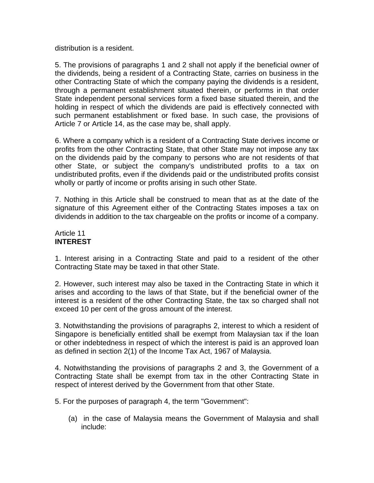distribution is a resident.

5. The provisions of paragraphs 1 and 2 shall not apply if the beneficial owner of the dividends, being a resident of a Contracting State, carries on business in the other Contracting State of which the company paying the dividends is a resident, through a permanent establishment situated therein, or performs in that order State independent personal services form a fixed base situated therein, and the holding in respect of which the dividends are paid is effectively connected with such permanent establishment or fixed base. In such case, the provisions of Article 7 or Article 14, as the case may be, shall apply.

6. Where a company which is a resident of a Contracting State derives income or profits from the other Contracting State, that other State may not impose any tax on the dividends paid by the company to persons who are not residents of that other State, or subject the company's undistributed profits to a tax on undistributed profits, even if the dividends paid or the undistributed profits consist wholly or partly of income or profits arising in such other State.

7. Nothing in this Article shall be construed to mean that as at the date of the signature of this Agreement either of the Contracting States imposes a tax on dividends in addition to the tax chargeable on the profits or income of a company.

## Article 11 **INTEREST**

1. Interest arising in a Contracting State and paid to a resident of the other Contracting State may be taxed in that other State.

2. However, such interest may also be taxed in the Contracting State in which it arises and according to the laws of that State, but if the beneficial owner of the interest is a resident of the other Contracting State, the tax so charged shall not exceed 10 per cent of the gross amount of the interest.

3. Notwithstanding the provisions of paragraphs 2, interest to which a resident of Singapore is beneficially entitled shall be exempt from Malaysian tax if the loan or other indebtedness in respect of which the interest is paid is an approved loan as defined in section 2(1) of the Income Tax Act, 1967 of Malaysia.

4. Notwithstanding the provisions of paragraphs 2 and 3, the Government of a Contracting State shall be exempt from tax in the other Contracting State in respect of interest derived by the Government from that other State.

5. For the purposes of paragraph 4, the term "Government":

(a) in the case of Malaysia means the Government of Malaysia and shall include: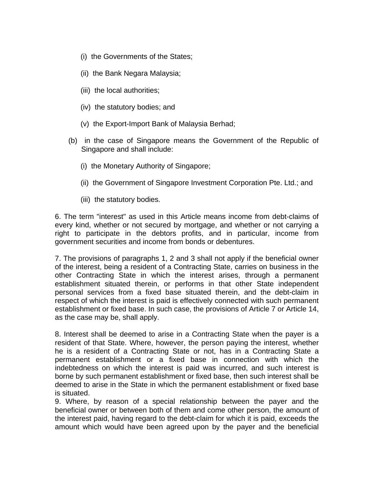- (i) the Governments of the States;
- (ii) the Bank Negara Malaysia;
- (iii) the local authorities;
- (iv) the statutory bodies; and
- (v) the Export-Import Bank of Malaysia Berhad;
- (b) in the case of Singapore means the Government of the Republic of Singapore and shall include:
	- (i) the Monetary Authority of Singapore;
	- (ii) the Government of Singapore Investment Corporation Pte. Ltd.; and
	- (iii) the statutory bodies.

6. The term "interest" as used in this Article means income from debt-claims of every kind, whether or not secured by mortgage, and whether or not carrying a right to participate in the debtors profits, and in particular, income from government securities and income from bonds or debentures.

7. The provisions of paragraphs 1, 2 and 3 shall not apply if the beneficial owner of the interest, being a resident of a Contracting State, carries on business in the other Contracting State in which the interest arises, through a permanent establishment situated therein, or performs in that other State independent personal services from a fixed base situated therein, and the debt-claim in respect of which the interest is paid is effectively connected with such permanent establishment or fixed base. In such case, the provisions of Article 7 or Article 14, as the case may be, shall apply.

8. Interest shall be deemed to arise in a Contracting State when the payer is a resident of that State. Where, however, the person paying the interest, whether he is a resident of a Contracting State or not, has in a Contracting State a permanent establishment or a fixed base in connection with which the indebtedness on which the interest is paid was incurred, and such interest is borne by such permanent establishment or fixed base, then such interest shall be deemed to arise in the State in which the permanent establishment or fixed base is situated.

9. Where, by reason of a special relationship between the payer and the beneficial owner or between both of them and come other person, the amount of the interest paid, having regard to the debt-claim for which it is paid, exceeds the amount which would have been agreed upon by the payer and the beneficial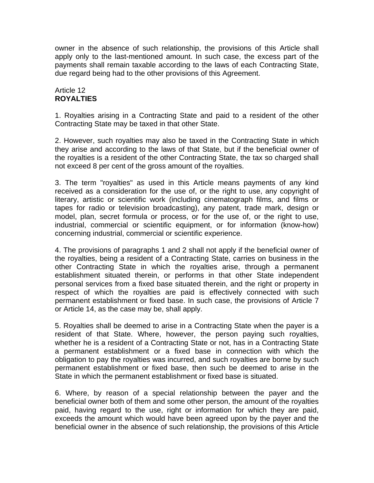owner in the absence of such relationship, the provisions of this Article shall apply only to the last-mentioned amount. In such case, the excess part of the payments shall remain taxable according to the laws of each Contracting State, due regard being had to the other provisions of this Agreement.

### Article 12 **ROYALTIES**

1. Royalties arising in a Contracting State and paid to a resident of the other Contracting State may be taxed in that other State.

2. However, such royalties may also be taxed in the Contracting State in which they arise and according to the laws of that State, but if the beneficial owner of the royalties is a resident of the other Contracting State, the tax so charged shall not exceed 8 per cent of the gross amount of the royalties.

3. The term "royalties" as used in this Article means payments of any kind received as a consideration for the use of, or the right to use, any copyright of literary, artistic or scientific work (including cinematograph films, and films or tapes for radio or television broadcasting), any patent, trade mark, design or model, plan, secret formula or process, or for the use of, or the right to use, industrial, commercial or scientific equipment, or for information (know-how) concerning industrial, commercial or scientific experience.

4. The provisions of paragraphs 1 and 2 shall not apply if the beneficial owner of the royalties, being a resident of a Contracting State, carries on business in the other Contracting State in which the royalties arise, through a permanent establishment situated therein, or performs in that other State independent personal services from a fixed base situated therein, and the right or property in respect of which the royalties are paid is effectively connected with such permanent establishment or fixed base. In such case, the provisions of Article 7 or Article 14, as the case may be, shall apply.

5. Royalties shall be deemed to arise in a Contracting State when the payer is a resident of that State. Where, however, the person paying such royalties, whether he is a resident of a Contracting State or not, has in a Contracting State a permanent establishment or a fixed base in connection with which the obligation to pay the royalties was incurred, and such royalties are borne by such permanent establishment or fixed base, then such be deemed to arise in the State in which the permanent establishment or fixed base is situated.

6. Where, by reason of a special relationship between the payer and the beneficial owner both of them and some other person, the amount of the royalties paid, having regard to the use, right or information for which they are paid, exceeds the amount which would have been agreed upon by the payer and the beneficial owner in the absence of such relationship, the provisions of this Article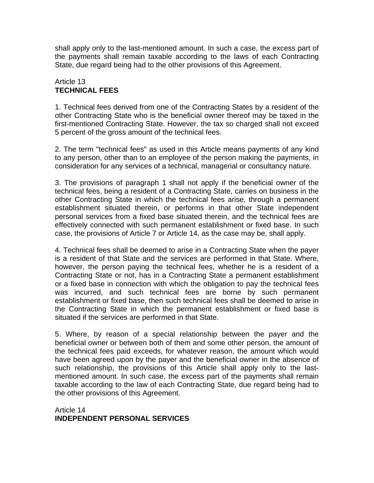shall apply only to the last-mentioned amount. In such a case, the excess part of the payments shall remain taxable according to the laws of each Contracting State, due regard being had to the other provisions of this Agreement.

## Article 13 **TECHNICAL FEES**

1. Technical fees derived from one of the Contracting States by a resident of the other Contracting State who is the beneficial owner thereof may be taxed in the first-mentioned Contracting State. However, the tax so charged shall not exceed 5 percent of the gross amount of the technical fees.

2. The term "technical fees" as used in this Article means payments of any kind to any person, other than to an employee of the person making the payments, in consideration for any services of a technical, managerial or consultancy nature.

3. The provisions of paragraph 1 shall not apply if the beneficial owner of the technical fees, being a resident of a Contracting State, carries on business in the other Contracting State in which the technical fees arise, through a permanent establishment situated therein, or performs in that other State independent personal services from a fixed base situated therein, and the technical fees are effectively connected with such permanent establishment or fixed base. In such case, the provisions of Article 7 or Article 14, as the case may be, shall apply.

4. Technical fees shall be deemed to arise in a Contracting State when the payer is a resident of that State and the services are performed in that State. Where, however, the person paying the technical fees, whether he is a resident of a Contracting State or not, has in a Contracting State a permanent establishment or a fixed base in connection with which the obligation to pay the technical fees was incurred, and such technical fees are borne by such permanent establishment or fixed base, then such technical fees shall be deemed to arise in the Contracting State in which the permanent establishment or fixed base is situated if the services are performed in that State.

5. Where, by reason of a special relationship between the payer and the beneficial owner or between both of them and some other person, the amount of the technical fees paid exceeds, for whatever reason, the amount which would have been agreed upon by the payer and the beneficial owner in the absence of such relationship, the provisions of this Article shall apply only to the lastmentioned amount. In such case, the excess part of the payments shall remain taxable according to the law of each Contracting State, due regard being had to the other provisions of this Agreement.

Article 14 **INDEPENDENT PERSONAL SERVICES**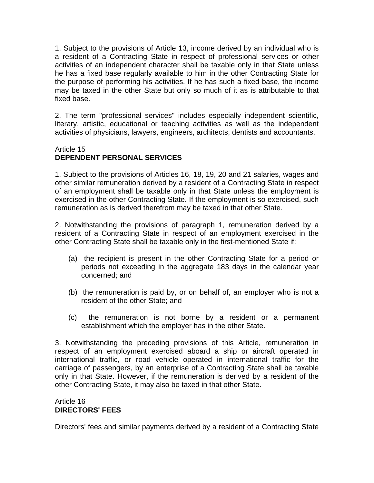1. Subject to the provisions of Article 13, income derived by an individual who is a resident of a Contracting State in respect of professional services or other activities of an independent character shall be taxable only in that State unless he has a fixed base regularly available to him in the other Contracting State for the purpose of performing his activities. If he has such a fixed base, the income may be taxed in the other State but only so much of it as is attributable to that fixed base.

2. The term "professional services" includes especially independent scientific, literary, artistic, educational or teaching activities as well as the independent activities of physicians, lawyers, engineers, architects, dentists and accountants.

## Article 15 **DEPENDENT PERSONAL SERVICES**

1. Subject to the provisions of Articles 16, 18, 19, 20 and 21 salaries, wages and other similar remuneration derived by a resident of a Contracting State in respect of an employment shall be taxable only in that State unless the employment is exercised in the other Contracting State. If the employment is so exercised, such remuneration as is derived therefrom may be taxed in that other State.

2. Notwithstanding the provisions of paragraph 1, remuneration derived by a resident of a Contracting State in respect of an employment exercised in the other Contracting State shall be taxable only in the first-mentioned State if:

- (a) the recipient is present in the other Contracting State for a period or periods not exceeding in the aggregate 183 days in the calendar year concerned; and
- (b) the remuneration is paid by, or on behalf of, an employer who is not a resident of the other State; and
- (c) the remuneration is not borne by a resident or a permanent establishment which the employer has in the other State.

3. Notwithstanding the preceding provisions of this Article, remuneration in respect of an employment exercised aboard a ship or aircraft operated in international traffic, or road vehicle operated in international traffic for the carriage of passengers, by an enterprise of a Contracting State shall be taxable only in that State. However, if the remuneration is derived by a resident of the other Contracting State, it may also be taxed in that other State.

### Article 16 **DIRECTORS' FEES**

Directors' fees and similar payments derived by a resident of a Contracting State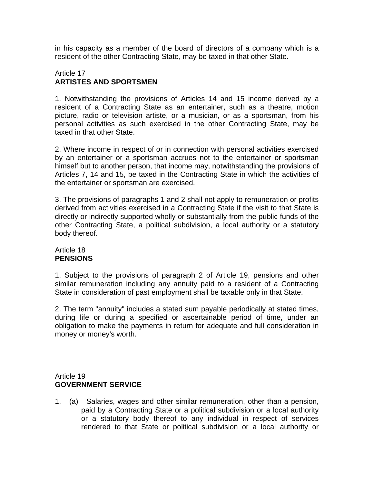in his capacity as a member of the board of directors of a company which is a resident of the other Contracting State, may be taxed in that other State.

#### Article 17 **ARTISTES AND SPORTSMEN**

1. Notwithstanding the provisions of Articles 14 and 15 income derived by a resident of a Contracting State as an entertainer, such as a theatre, motion picture, radio or television artiste, or a musician, or as a sportsman, from his personal activities as such exercised in the other Contracting State, may be taxed in that other State.

2. Where income in respect of or in connection with personal activities exercised by an entertainer or a sportsman accrues not to the entertainer or sportsman himself but to another person, that income may, notwithstanding the provisions of Articles 7, 14 and 15, be taxed in the Contracting State in which the activities of the entertainer or sportsman are exercised.

3. The provisions of paragraphs 1 and 2 shall not apply to remuneration or profits derived from activities exercised in a Contracting State if the visit to that State is directly or indirectly supported wholly or substantially from the public funds of the other Contracting State, a political subdivision, a local authority or a statutory body thereof.

### Article 18 **PENSIONS**

1. Subject to the provisions of paragraph 2 of Article 19, pensions and other similar remuneration including any annuity paid to a resident of a Contracting State in consideration of past employment shall be taxable only in that State.

2. The term "annuity" includes a stated sum payable periodically at stated times, during life or during a specified or ascertainable period of time, under an obligation to make the payments in return for adequate and full consideration in money or money's worth.

## Article 19 **GOVERNMENT SERVICE**

1. (a) Salaries, wages and other similar remuneration, other than a pension, paid by a Contracting State or a political subdivision or a local authority or a statutory body thereof to any individual in respect of services rendered to that State or political subdivision or a local authority or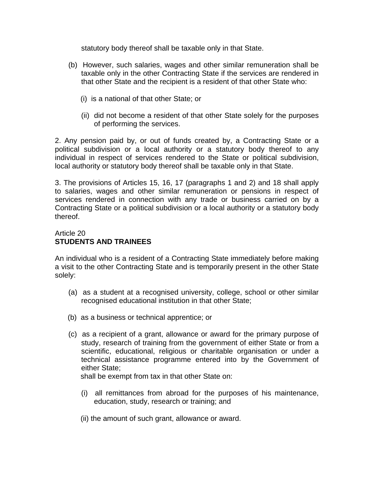statutory body thereof shall be taxable only in that State.

- (b) However, such salaries, wages and other similar remuneration shall be taxable only in the other Contracting State if the services are rendered in that other State and the recipient is a resident of that other State who:
	- (i) is a national of that other State; or
	- (ii) did not become a resident of that other State solely for the purposes of performing the services.

2. Any pension paid by, or out of funds created by, a Contracting State or a political subdivision or a local authority or a statutory body thereof to any individual in respect of services rendered to the State or political subdivision, local authority or statutory body thereof shall be taxable only in that State.

3. The provisions of Articles 15, 16, 17 (paragraphs 1 and 2) and 18 shall apply to salaries, wages and other similar remuneration or pensions in respect of services rendered in connection with any trade or business carried on by a Contracting State or a political subdivision or a local authority or a statutory body thereof.

## Article 20 **STUDENTS AND TRAINEES**

An individual who is a resident of a Contracting State immediately before making a visit to the other Contracting State and is temporarily present in the other State solely:

- (a) as a student at a recognised university, college, school or other similar recognised educational institution in that other State;
- (b) as a business or technical apprentice; or
- (c) as a recipient of a grant, allowance or award for the primary purpose of study, research of training from the government of either State or from a scientific, educational, religious or charitable organisation or under a technical assistance programme entered into by the Government of either State;

shall be exempt from tax in that other State on:

- (i) all remittances from abroad for the purposes of his maintenance, education, study, research or training; and
- (ii) the amount of such grant, allowance or award.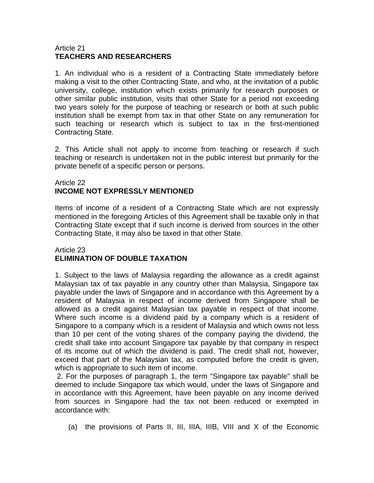### Article 21 **TEACHERS AND RESEARCHERS**

1. An individual who is a resident of a Contracting State immediately before making a visit to the other Contracting State, and who, at the invitation of a public university, college, institution which exists primarily for research purposes or other similar public institution, visits that other State for a period not exceeding two years solely for the purpose of teaching or research or both at such public institution shall be exempt from tax in that other State on any remuneration for such teaching or research which is subject to tax in the first-mentioned Contracting State.

2. This Article shall not apply to income from teaching or research if such teaching or research is undertaken not in the public interest but primarily for the private benefit of a specific person or persons.

#### Article 22 **INCOME NOT EXPRESSLY MENTIONED**

Items of income of a resident of a Contracting State which are not expressly mentioned in the foregoing Articles of this Agreement shall be taxable only in that Contracting State except that if such income is derived from sources in the other Contracting State, it may also be taxed in that other State.

## Article 23 **ELIMINATION OF DOUBLE TAXATION**

1. Subject to the laws of Malaysia regarding the allowance as a credit against Malaysian tax of tax payable in any country other than Malaysia, Singapore tax payable under the laws of Singapore and in accordance with this Agreement by a resident of Malaysia in respect of income derived from Singapore shall be allowed as a credit against Malaysian tax payable in respect of that income. Where such income is a dividend paid by a company which is a resident of Singapore to a company which is a resident of Malaysia and which owns not less than 10 per cent of the voting shares of the company paying the dividend, the credit shall take into account Singapore tax payable by that company in respect of its income out of which the dividend is paid. The credit shall not, however, exceed that part of the Malaysian tax, as computed before the credit is given, which is appropriate to such item of income.

 2. For the purposes of paragraph 1, the term "Singapore tax payable" shall be deemed to include Singapore tax which would, under the laws of Singapore and in accordance with this Agreement, have been payable on any income derived from sources in Singapore had the tax not been reduced or exempted in accordance with:

(a) the provisions of Parts II, III, IIIA, IIIB, VIII and X of the Economic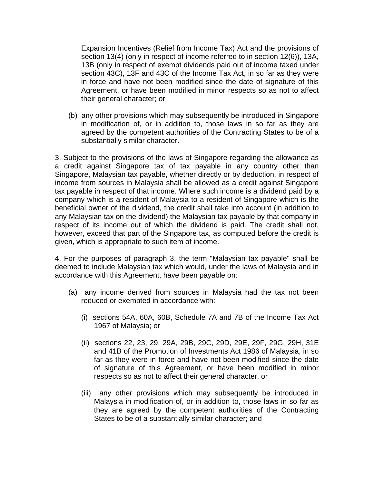Expansion Incentives (Relief from Income Tax) Act and the provisions of section 13(4) (only in respect of income referred to in section 12(6)), 13A, 13B (only in respect of exempt dividends paid out of income taxed under section 43C), 13F and 43C of the Income Tax Act, in so far as they were in force and have not been modified since the date of signature of this Agreement, or have been modified in minor respects so as not to affect their general character; or

(b) any other provisions which may subsequently be introduced in Singapore in modification of, or in addition to, those laws in so far as they are agreed by the competent authorities of the Contracting States to be of a substantially similar character.

3. Subject to the provisions of the laws of Singapore regarding the allowance as a credit against Singapore tax of tax payable in any country other than Singapore, Malaysian tax payable, whether directly or by deduction, in respect of income from sources in Malaysia shall be allowed as a credit against Singapore tax payable in respect of that income. Where such income is a dividend paid by a company which is a resident of Malaysia to a resident of Singapore which is the beneficial owner of the dividend, the credit shall take into account (in addition to any Malaysian tax on the dividend) the Malaysian tax payable by that company in respect of its income out of which the dividend is paid. The credit shall not, however, exceed that part of the Singapore tax, as computed before the credit is given, which is appropriate to such item of income.

4. For the purposes of paragraph 3, the term "Malaysian tax payable" shall be deemed to include Malaysian tax which would, under the laws of Malaysia and in accordance with this Agreement, have been payable on:

- (a) any income derived from sources in Malaysia had the tax not been reduced or exempted in accordance with:
	- (i) sections 54A, 60A, 60B, Schedule 7A and 7B of the Income Tax Act 1967 of Malaysia; or
	- (ii) sections 22, 23, 29, 29A, 29B, 29C, 29D, 29E, 29F, 29G, 29H, 31E and 41B of the Promotion of Investments Act 1986 of Malaysia, in so far as they were in force and have not been modified since the date of signature of this Agreement, or have been modified in minor respects so as not to affect their general character, or
	- (iii) any other provisions which may subsequently be introduced in Malaysia in modification of, or in addition to, those laws in so far as they are agreed by the competent authorities of the Contracting States to be of a substantially similar character; and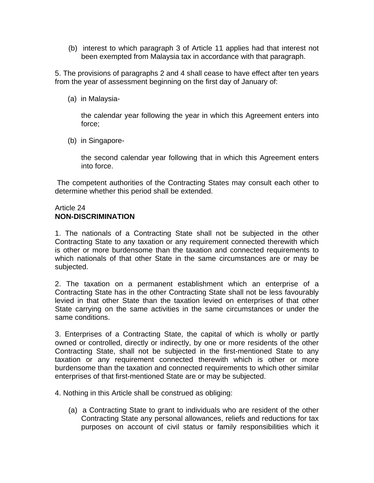(b) interest to which paragraph 3 of Article 11 applies had that interest not been exempted from Malaysia tax in accordance with that paragraph.

5. The provisions of paragraphs 2 and 4 shall cease to have effect after ten years from the year of assessment beginning on the first day of January of:

(a) in Malaysia-

the calendar year following the year in which this Agreement enters into force;

(b) in Singapore-

the second calendar year following that in which this Agreement enters into force.

 The competent authorities of the Contracting States may consult each other to determine whether this period shall be extended.

### Article 24 **NON-DISCRIMINATION**

1. The nationals of a Contracting State shall not be subjected in the other Contracting State to any taxation or any requirement connected therewith which is other or more burdensome than the taxation and connected requirements to which nationals of that other State in the same circumstances are or may be subjected.

2. The taxation on a permanent establishment which an enterprise of a Contracting State has in the other Contracting State shall not be less favourably levied in that other State than the taxation levied on enterprises of that other State carrying on the same activities in the same circumstances or under the same conditions.

3. Enterprises of a Contracting State, the capital of which is wholly or partly owned or controlled, directly or indirectly, by one or more residents of the other Contracting State, shall not be subjected in the first-mentioned State to any taxation or any requirement connected therewith which is other or more burdensome than the taxation and connected requirements to which other similar enterprises of that first-mentioned State are or may be subjected.

4. Nothing in this Article shall be construed as obliging:

(a) a Contracting State to grant to individuals who are resident of the other Contracting State any personal allowances, reliefs and reductions for tax purposes on account of civil status or family responsibilities which it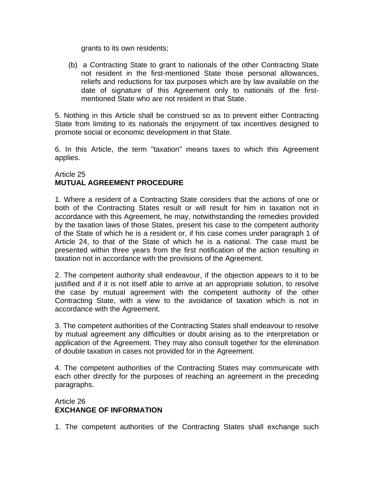grants to its own residents;

(b) a Contracting State to grant to nationals of the other Contracting State not resident in the first-mentioned State those personal allowances, reliefs and reductions for tax purposes which are by law available on the date of signature of this Agreement only to nationals of the firstmentioned State who are not resident in that State.

5. Nothing in this Article shall be construed so as to prevent either Contracting State from limiting to its nationals the enjoyment of tax incentives designed to promote social or economic development in that State.

6. In this Article, the term "taxation" means taxes to which this Agreement applies.

### Article 25 **MUTUAL AGREEMENT PROCEDURE**

1. Where a resident of a Contracting State considers that the actions of one or both of the Contracting States result or will result for him in taxation not in accordance with this Agreement, he may, notwithstanding the remedies provided by the taxation laws of those States, present his case to the competent authority of the State of which he is a resident or, if his case comes under paragraph 1 of Article 24, to that of the State of which he is a national. The case must be presented within three years from the first notification of the action resulting in taxation not in accordance with the provisions of the Agreement.

2. The competent authority shall endeavour, if the objection appears to it to be justified and if it is not itself able to arrive at an appropriate solution, to resolve the case by mutual agreement with the competent authority of the other Contracting State, with a view to the avoidance of taxation which is not in accordance with the Agreement.

3. The competent authorities of the Contracting States shall endeavour to resolve by mutual agreement any difficulties or doubt arising as to the interpretation or application of the Agreement. They may also consult together for the elimination of double taxation in cases not provided for in the Agreement.

4. The competent authorities of the Contracting States may communicate with each other directly for the purposes of reaching an agreement in the preceding paragraphs.

# Article 26 **EXCHANGE OF INFORMATION**

1. The competent authorities of the Contracting States shall exchange such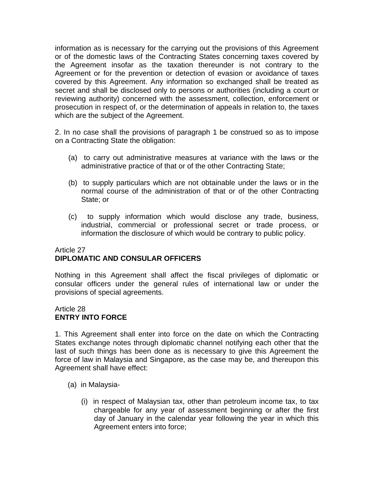information as is necessary for the carrying out the provisions of this Agreement or of the domestic laws of the Contracting States concerning taxes covered by the Agreement insofar as the taxation thereunder is not contrary to the Agreement or for the prevention or detection of evasion or avoidance of taxes covered by this Agreement. Any information so exchanged shall be treated as secret and shall be disclosed only to persons or authorities (including a court or reviewing authority) concerned with the assessment, collection, enforcement or prosecution in respect of, or the determination of appeals in relation to, the taxes which are the subject of the Agreement.

2. In no case shall the provisions of paragraph 1 be construed so as to impose on a Contracting State the obligation:

- (a) to carry out administrative measures at variance with the laws or the administrative practice of that or of the other Contracting State;
- (b) to supply particulars which are not obtainable under the laws or in the normal course of the administration of that or of the other Contracting State; or
- (c) to supply information which would disclose any trade, business, industrial, commercial or professional secret or trade process, or information the disclosure of which would be contrary to public policy.

# Article 27 **DIPLOMATIC AND CONSULAR OFFICERS**

Nothing in this Agreement shall affect the fiscal privileges of diplomatic or consular officers under the general rules of international law or under the provisions of special agreements.

## Article 28 **ENTRY INTO FORCE**

1. This Agreement shall enter into force on the date on which the Contracting States exchange notes through diplomatic channel notifying each other that the last of such things has been done as is necessary to give this Agreement the force of law in Malaysia and Singapore, as the case may be, and thereupon this Agreement shall have effect:

- (a) in Malaysia-
	- (i) in respect of Malaysian tax, other than petroleum income tax, to tax chargeable for any year of assessment beginning or after the first day of January in the calendar year following the year in which this Agreement enters into force;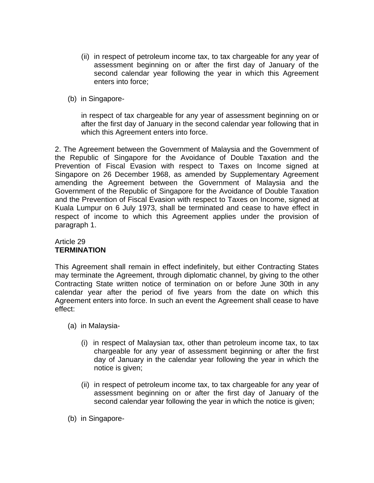- (ii) in respect of petroleum income tax, to tax chargeable for any year of assessment beginning on or after the first day of January of the second calendar year following the year in which this Agreement enters into force;
- (b) in Singapore-

in respect of tax chargeable for any year of assessment beginning on or after the first day of January in the second calendar year following that in which this Agreement enters into force.

2. The Agreement between the Government of Malaysia and the Government of the Republic of Singapore for the Avoidance of Double Taxation and the Prevention of Fiscal Evasion with respect to Taxes on Income signed at Singapore on 26 December 1968, as amended by Supplementary Agreement amending the Agreement between the Government of Malaysia and the Government of the Republic of Singapore for the Avoidance of Double Taxation and the Prevention of Fiscal Evasion with respect to Taxes on Income, signed at Kuala Lumpur on 6 July 1973, shall be terminated and cease to have effect in respect of income to which this Agreement applies under the provision of paragraph 1.

### Article 29 **TERMINATION**

This Agreement shall remain in effect indefinitely, but either Contracting States may terminate the Agreement, through diplomatic channel, by giving to the other Contracting State written notice of termination on or before June 30th in any calendar year after the period of five years from the date on which this Agreement enters into force. In such an event the Agreement shall cease to have effect:

- (a) in Malaysia-
	- (i) in respect of Malaysian tax, other than petroleum income tax, to tax chargeable for any year of assessment beginning or after the first day of January in the calendar year following the year in which the notice is given;
	- (ii) in respect of petroleum income tax, to tax chargeable for any year of assessment beginning on or after the first day of January of the second calendar year following the year in which the notice is given;
- (b) in Singapore-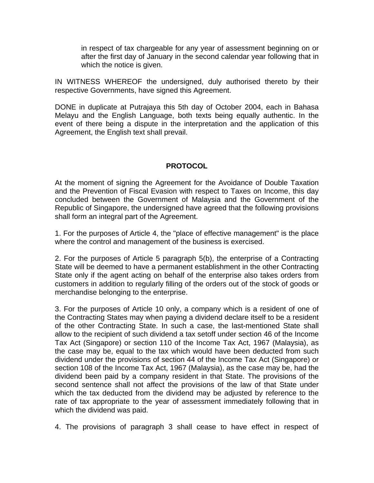in respect of tax chargeable for any year of assessment beginning on or after the first day of January in the second calendar year following that in which the notice is given.

IN WITNESS WHEREOF the undersigned, duly authorised thereto by their respective Governments, have signed this Agreement.

DONE in duplicate at Putrajaya this 5th day of October 2004, each in Bahasa Melayu and the English Language, both texts being equally authentic. In the event of there being a dispute in the interpretation and the application of this Agreement, the English text shall prevail.

## **PROTOCOL**

At the moment of signing the Agreement for the Avoidance of Double Taxation and the Prevention of Fiscal Evasion with respect to Taxes on Income, this day concluded between the Government of Malaysia and the Government of the Republic of Singapore, the undersigned have agreed that the following provisions shall form an integral part of the Agreement.

1. For the purposes of Article 4, the "place of effective management" is the place where the control and management of the business is exercised.

2. For the purposes of Article 5 paragraph 5(b), the enterprise of a Contracting State will be deemed to have a permanent establishment in the other Contracting State only if the agent acting on behalf of the enterprise also takes orders from customers in addition to regularly filling of the orders out of the stock of goods or merchandise belonging to the enterprise.

3. For the purposes of Article 10 only, a company which is a resident of one of the Contracting States may when paying a dividend declare itself to be a resident of the other Contracting State. In such a case, the last-mentioned State shall allow to the recipient of such dividend a tax setoff under section 46 of the Income Tax Act (Singapore) or section 110 of the Income Tax Act, 1967 (Malaysia), as the case may be, equal to the tax which would have been deducted from such dividend under the provisions of section 44 of the Income Tax Act (Singapore) or section 108 of the Income Tax Act, 1967 (Malaysia), as the case may be, had the dividend been paid by a company resident in that State. The provisions of the second sentence shall not affect the provisions of the law of that State under which the tax deducted from the dividend may be adjusted by reference to the rate of tax appropriate to the year of assessment immediately following that in which the dividend was paid.

4. The provisions of paragraph 3 shall cease to have effect in respect of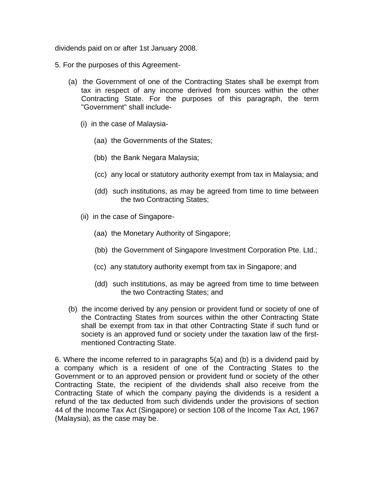dividends paid on or after 1st January 2008.

- 5. For the purposes of this Agreement-
	- (a) the Government of one of the Contracting States shall be exempt from tax in respect of any income derived from sources within the other Contracting State. For the purposes of this paragraph, the term "Government" shall include-
		- (i) in the case of Malaysia-
			- (aa) the Governments of the States;
			- (bb) the Bank Negara Malaysia;
			- (cc) any local or statutory authority exempt from tax in Malaysia; and
			- (dd) such institutions, as may be agreed from time to time between the two Contracting States;
		- (ii) in the case of Singapore-
			- (aa) the Monetary Authority of Singapore;
			- (bb) the Government of Singapore Investment Corporation Pte. Ltd.;
			- (cc) any statutory authority exempt from tax in Singapore; and
			- (dd) such institutions, as may be agreed from time to time between the two Contracting States; and
	- (b) the income derived by any pension or provident fund or society of one of the Contracting States from sources within the other Contracting State shall be exempt from tax in that other Contracting State if such fund or society is an approved fund or society under the taxation law of the firstmentioned Contracting State.

6. Where the income referred to in paragraphs 5(a) and (b) is a dividend paid by a company which is a resident of one of the Contracting States to the Government or to an approved pension or provident fund or society of the other Contracting State, the recipient of the dividends shall also receive from the Contracting State of which the company paying the dividends is a resident a refund of the tax deducted from such dividends under the provisions of section 44 of the Income Tax Act (Singapore) or section 108 of the Income Tax Act, 1967 (Malaysia), as the case may be.